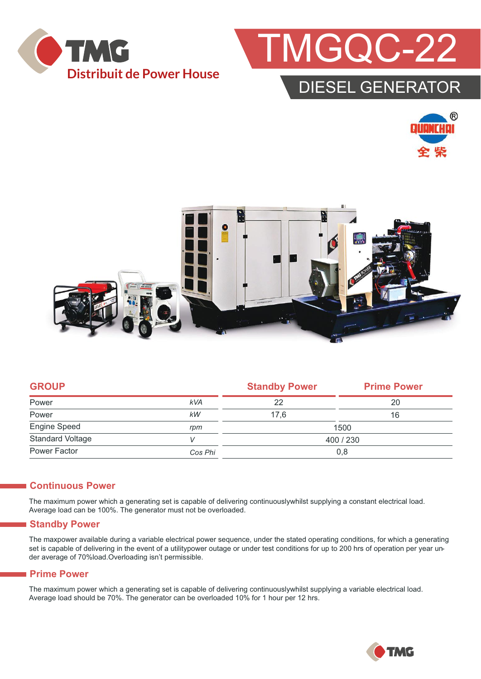



### DIESEL GENERATOR





| <b>GROUP</b>            |            | <b>Standby Power</b> | <b>Prime Power</b> |  |
|-------------------------|------------|----------------------|--------------------|--|
| Power                   | <b>kVA</b> | 22                   | 20                 |  |
| Power                   | kW         | 17,6                 | 16                 |  |
| Engine Speed            | rpm        | 1500                 |                    |  |
| <b>Standard Voltage</b> | v          | 400 / 230            |                    |  |
| Power Factor            | Cos Phi    | 0,8                  |                    |  |

#### **Continuous Power**

The maximum power which a generating set is capable of delivering continuouslywhilst supplying a constant electrical load. Average load can be 100%. The generator must not be overloaded.

#### **Standby Power**

The maxpower available during a variable electrical power sequence, under the stated operating conditions, for which a generating set is capable of delivering in the event of a utilitypower outage or under test conditions for up to 200 hrs of operation per year under average of 70%load.Overloading isn't permissible.

#### **Prime Power**

The maximum power which a generating set is capable of delivering continuouslywhilst supplying a variable electrical load. Average load should be 70%. The generator can be overloaded 10% for 1 hour per 12 hrs.

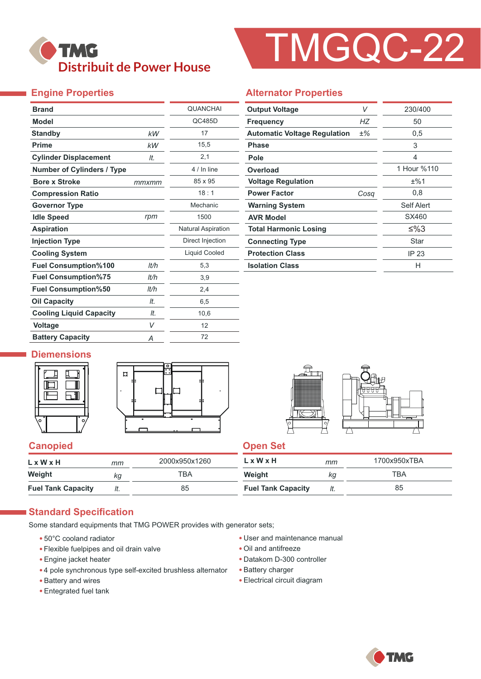

# TMGQC-22

### **Engine Properties**

| <b>Brand</b>                      |       | <b>QUANCHAI</b>           |  |  |
|-----------------------------------|-------|---------------------------|--|--|
| <b>Model</b>                      |       | QC485D                    |  |  |
| <b>Standby</b>                    | kW    | 17                        |  |  |
| <b>Prime</b>                      | kW    | 15,5                      |  |  |
| <b>Cylinder Displacement</b>      | It.   | 2,1                       |  |  |
| <b>Number of Cylinders / Type</b> |       | 4 / In line               |  |  |
| <b>Bore x Stroke</b>              | mmxmm | 85 x 95                   |  |  |
| <b>Compression Ratio</b>          |       | 18:1                      |  |  |
| <b>Governor Type</b>              |       | Mechanic                  |  |  |
| <b>Idle Speed</b>                 | rpm   | 1500                      |  |  |
| <b>Aspiration</b>                 |       | <b>Natural Aspiration</b> |  |  |
| <b>Injection Type</b>             |       | Direct Injection          |  |  |
| <b>Cooling System</b>             |       | <b>Liquid Cooled</b>      |  |  |
| <b>Fuel Consumption%100</b>       | lt/h  | 5,3                       |  |  |
| <b>Fuel Consumption%75</b>        | lt/h  | 3,9                       |  |  |
| <b>Fuel Consumption%50</b>        | lt/h  | 2,4                       |  |  |
| <b>Oil Capacity</b>               | lt.   | 6,5                       |  |  |
| <b>Cooling Liquid Capacity</b>    | It.   | 10,6                      |  |  |
| <b>Voltage</b>                    | V     | 12                        |  |  |
| <b>Battery Capacity</b>           | Α     | 72                        |  |  |

#### **Alternator Properties**

| <b>Output Voltage</b>               | V     | 230/400     |  |
|-------------------------------------|-------|-------------|--|
| <b>Frequency</b>                    | НZ    | 50          |  |
| <b>Automatic Voltage Regulation</b> | $±\%$ | 0,5         |  |
| <b>Phase</b>                        |       | 3           |  |
| Pole                                |       | 4           |  |
| Overload                            |       | 1 Hour %110 |  |
| <b>Voltage Regulation</b>           |       | ±%1         |  |
| <b>Power Factor</b>                 | Cosq  | 0,8         |  |
| <b>Warning System</b>               |       | Self Alert  |  |
| <b>AVR Model</b>                    |       | SX460       |  |
| <b>Total Harmonic Losing</b>        |       | ≤%3         |  |
| <b>Connecting Type</b>              |       | Star        |  |
| <b>Protection Class</b>             | IP 23 |             |  |
| <b>Isolation Class</b>              | н     |             |  |

#### **Diemensions**





#### **Canopied Canopied Canopied**

| LxWxH                     | тт  | 2000x950x1260 | $L \times W \times H$     | mm  | 1700x950xTBA |  |
|---------------------------|-----|---------------|---------------------------|-----|--------------|--|
| Weight                    | ka  | тва           | Weight                    | Кq  | TBA          |  |
| <b>Fuel Tank Capacity</b> | It. | 85            | <b>Fuel Tank Capacity</b> | It. | 85           |  |

#### **Standard Specification**

Some standard equipments that TMG POWER provides with generator sets;

- 50°C cooland radiator
- Flexible fuelpipes and oil drain valve
- Engine jacket heater
- 4 pole synchronous type self-excited brushless alternator
- Battery and wires
- Entegrated fuel tank
- User and maintenance manual
- Oil and antifreeze
- Datakom D-300 controller
- Battery charger
- Electrical circuit diagram